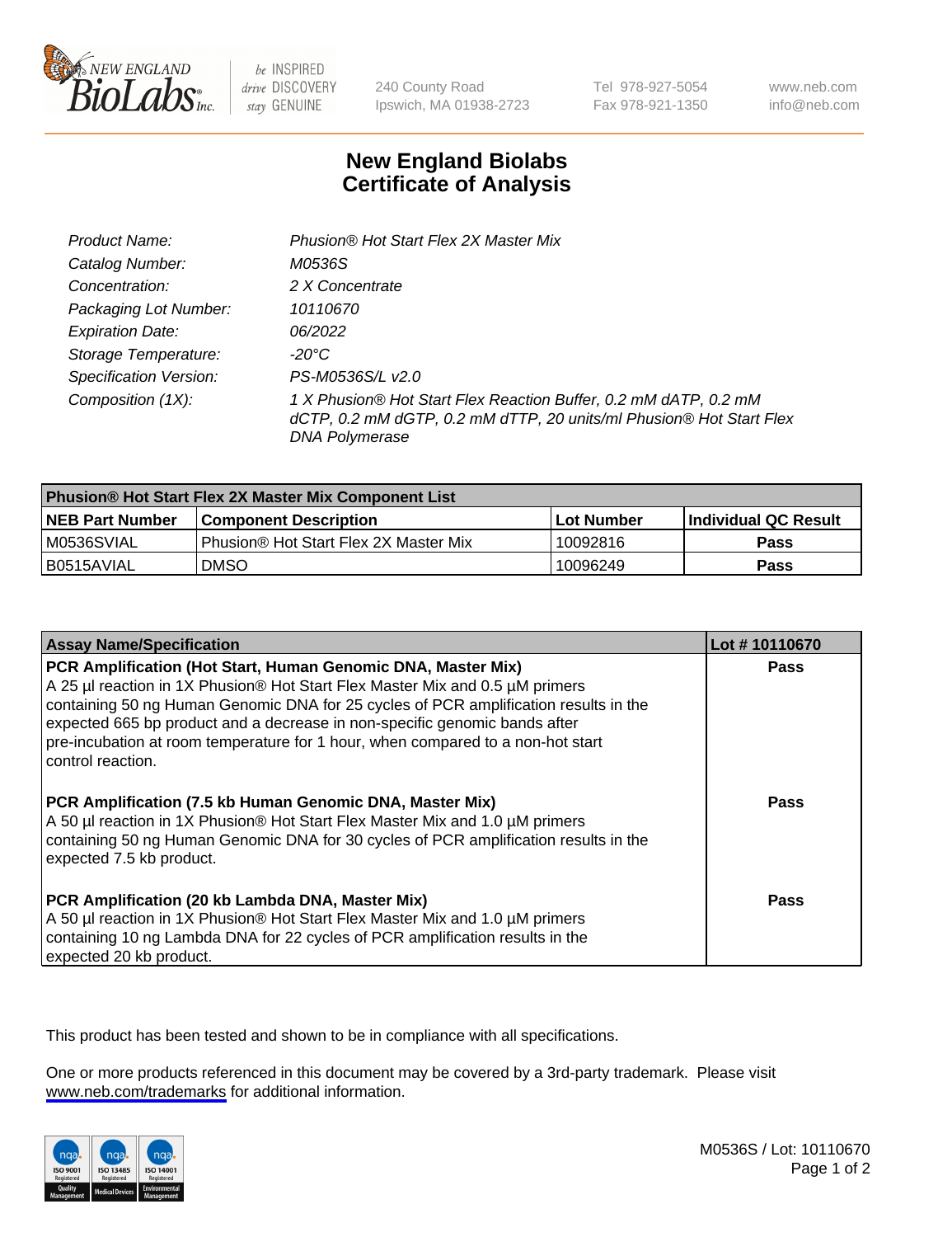

be INSPIRED drive DISCOVERY stay GENUINE

240 County Road Ipswich, MA 01938-2723 Tel 978-927-5054 Fax 978-921-1350

www.neb.com info@neb.com

## **New England Biolabs Certificate of Analysis**

| Product Name:           | Phusion® Hot Start Flex 2X Master Mix                                                                                                                     |
|-------------------------|-----------------------------------------------------------------------------------------------------------------------------------------------------------|
| Catalog Number:         | M0536S                                                                                                                                                    |
| Concentration:          | 2 X Concentrate                                                                                                                                           |
| Packaging Lot Number:   | 10110670                                                                                                                                                  |
| <b>Expiration Date:</b> | 06/2022                                                                                                                                                   |
| Storage Temperature:    | -20°C                                                                                                                                                     |
| Specification Version:  | PS-M0536S/L v2.0                                                                                                                                          |
| Composition (1X):       | 1 X Phusion® Hot Start Flex Reaction Buffer, 0.2 mM dATP, 0.2 mM<br>dCTP, 0.2 mM dGTP, 0.2 mM dTTP, 20 units/ml Phusion® Hot Start Flex<br>DNA Polymerase |

| Phusion® Hot Start Flex 2X Master Mix Component List |                                              |            |                      |  |
|------------------------------------------------------|----------------------------------------------|------------|----------------------|--|
| <b>NEB Part Number</b>                               | <b>Component Description</b>                 | Lot Number | Individual QC Result |  |
| M0536SVIAL                                           | <b>Phusion® Hot Start Flex 2X Master Mix</b> | 10092816   | <b>Pass</b>          |  |
| I B0515AVIAL                                         | <b>DMSO</b>                                  | 10096249   | <b>Pass</b>          |  |

| <b>Assay Name/Specification</b>                                                                                                                                                                                                                                                                                                                                                                                            | Lot #10110670 |
|----------------------------------------------------------------------------------------------------------------------------------------------------------------------------------------------------------------------------------------------------------------------------------------------------------------------------------------------------------------------------------------------------------------------------|---------------|
| PCR Amplification (Hot Start, Human Genomic DNA, Master Mix)<br>A 25 µl reaction in 1X Phusion® Hot Start Flex Master Mix and 0.5 µM primers<br>containing 50 ng Human Genomic DNA for 25 cycles of PCR amplification results in the<br>expected 665 bp product and a decrease in non-specific genomic bands after<br>pre-incubation at room temperature for 1 hour, when compared to a non-hot start<br>control reaction. | <b>Pass</b>   |
| PCR Amplification (7.5 kb Human Genomic DNA, Master Mix)<br>A 50 µl reaction in 1X Phusion® Hot Start Flex Master Mix and 1.0 µM primers<br>containing 50 ng Human Genomic DNA for 30 cycles of PCR amplification results in the<br>expected 7.5 kb product.                                                                                                                                                               | Pass          |
| PCR Amplification (20 kb Lambda DNA, Master Mix)<br>A 50 µl reaction in 1X Phusion® Hot Start Flex Master Mix and 1.0 µM primers<br>containing 10 ng Lambda DNA for 22 cycles of PCR amplification results in the<br>expected 20 kb product.                                                                                                                                                                               | Pass          |

This product has been tested and shown to be in compliance with all specifications.

One or more products referenced in this document may be covered by a 3rd-party trademark. Please visit <www.neb.com/trademarks>for additional information.